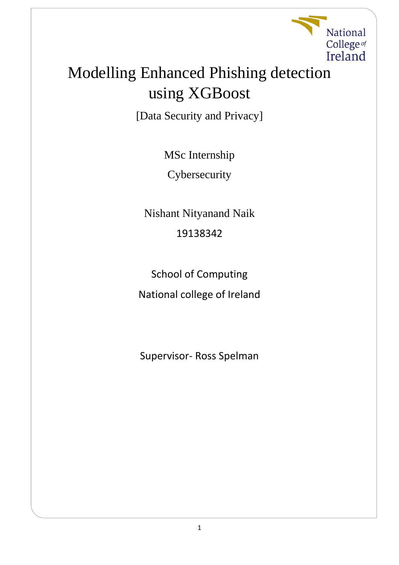

**National** College of

[Data Security and Privacy]

MSc Internship **Cybersecurity** 

Nishant Nityanand Naik 19138342

School of Computing National college of Ireland

Supervisor- Ross Spelman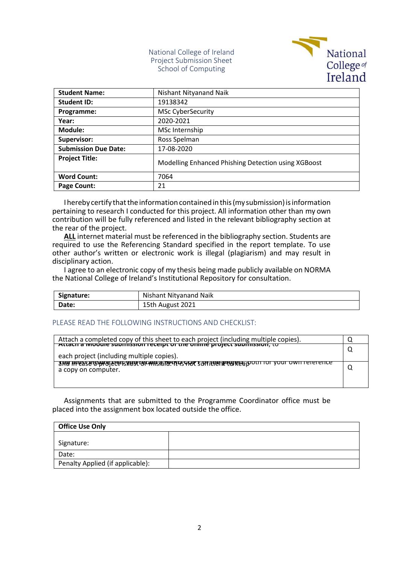#### National College of Ireland Project Submission Sheet School of Computing



| <b>Student Name:</b>        | Nishant Nityanand Naik                              |
|-----------------------------|-----------------------------------------------------|
| <b>Student ID:</b>          | 19138342                                            |
| Programme:                  | MSc CyberSecurity                                   |
| Year:                       | 2020-2021                                           |
| <b>Module:</b>              | MSc Internship                                      |
| Supervisor:                 | Ross Spelman                                        |
| <b>Submission Due Date:</b> | 17-08-2020                                          |
| <b>Project Title:</b>       | Modelling Enhanced Phishing Detection using XGBoost |
| <b>Word Count:</b>          | 7064                                                |
| Page Count:                 | 21                                                  |

I hereby certify that the information contained in this (my submission) is information pertaining to research I conducted for this project. All information other than my own contribution will be fully referenced and listed in the relevant bibliography section at the rear of the project.

**ALL** internet material must be referenced in the bibliography section. Students are required to use the Referencing Standard specified in the report template. To use other author's written or electronic work is illegal (plagiarism) and may result in disciplinary action.

I agree to an electronic copy of my thesis being made publicly available on NORMA the National College of Ireland's Institutional Repository for consultation.

| Signature: | Nishant Nityanand Naik |
|------------|------------------------|
| Date:      | 15th August 2021       |

#### PLEASE READ THE FOLLOWING INSTRUCTIONS AND CHECKLIST.

| Attach a completed copy of this sheet to each project (including multiple copies).                                                          |  |
|---------------------------------------------------------------------------------------------------------------------------------------------|--|
| <u>Attach a Mobule Subhission receipt of the onime project submission, to</u>                                                               |  |
| each project (including multiple copies).                                                                                                   |  |
| and in ease bombied when the wind the christian and the poultry of the most sets in the component of the sets in the<br>a copy on computer. |  |
|                                                                                                                                             |  |
|                                                                                                                                             |  |

Assignments that are submitted to the Programme Coordinator office must be placed into the assignment box located outside the office.

| <b>Office Use Only</b>           |  |  |  |  |  |  |  |
|----------------------------------|--|--|--|--|--|--|--|
| Signature:                       |  |  |  |  |  |  |  |
| Date:                            |  |  |  |  |  |  |  |
| Penalty Applied (if applicable): |  |  |  |  |  |  |  |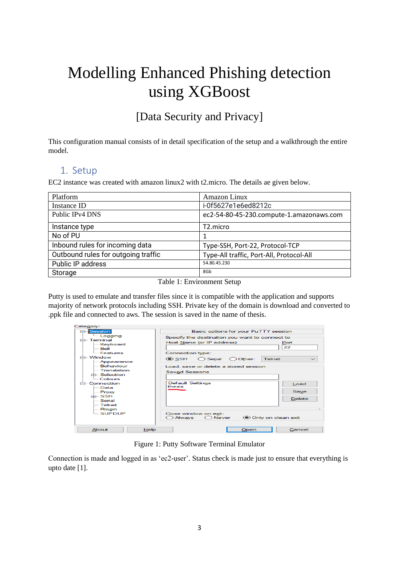# Modelling Enhanced Phishing detection using XGBoost

## [Data Security and Privacy]

This configuration manual consists of in detail specification of the setup and a walkthrough the entire model.

## 1. Setup

EC2 instance was created with amazon linux2 with t2.micro. The details ae given below.

| Platform                            | Amazon Linux                             |
|-------------------------------------|------------------------------------------|
| Instance ID                         | i-0f5627e1e6ed8212c                      |
| Public IPv4 DNS                     | ec2-54-80-45-230.compute-1.amazonaws.com |
| Instance type                       | T <sub>2</sub> .micro                    |
| No of PU                            |                                          |
| Inbound rules for incoming data     | Type-SSH, Port-22, Protocol-TCP          |
| Outbound rules for outgoing traffic | Type-All traffic, Port-All, Protocol-All |
| Public IP address                   | 54.80.45.230                             |
| Storage                             | 8Gb                                      |

Table 1: Environment Setup

Putty is used to emulate and transfer files since it is compatible with the application and supports majority of network protocols including SSH. Private key of the domain is download and converted to .ppk file and connected to aws. The session is saved in the name of thesis.

| Category:                              |                                                                         |  |  |  |  |  |  |  |
|----------------------------------------|-------------------------------------------------------------------------|--|--|--|--|--|--|--|
| Session!                               | Basic options for your PuTTY session                                    |  |  |  |  |  |  |  |
| <b>Logging</b><br>i⊐⊶ Terminal         | Specify the destination you want to connect to                          |  |  |  |  |  |  |  |
| - Keyboard                             | Host Name (or IP address)<br><b>Port</b><br>22                          |  |  |  |  |  |  |  |
| i… Bell                                |                                                                         |  |  |  |  |  |  |  |
| <b>L Features</b>                      | Connection type:                                                        |  |  |  |  |  |  |  |
| ⊫ Window<br>- Appearance               | $\odot$ SSH<br>◯ Serial<br>Telnet<br>Other:<br>$\epsilon$ $\rightarrow$ |  |  |  |  |  |  |  |
| --- Behaviour                          | Load, save or delete a stored session                                   |  |  |  |  |  |  |  |
| i Translation                          | <b>Saved Sessions</b>                                                   |  |  |  |  |  |  |  |
| <b>E</b> Selection                     |                                                                         |  |  |  |  |  |  |  |
| <b>Colours</b>                         |                                                                         |  |  |  |  |  |  |  |
| - Connection<br>l… Data                | <b>Default Settings</b><br>Load<br>thesis                               |  |  |  |  |  |  |  |
| l--- Proxv                             | Save                                                                    |  |  |  |  |  |  |  |
| ங்⊹ SSH                                | <b>Delete</b>                                                           |  |  |  |  |  |  |  |
| <b>Serial</b><br>$\blacksquare$ Telnet |                                                                         |  |  |  |  |  |  |  |
| <b>Rlogin</b>                          |                                                                         |  |  |  |  |  |  |  |
| <b>SUPDUP</b>                          | Close window on exit:<br>O Only on clean exit<br>Always<br>O Never      |  |  |  |  |  |  |  |
|                                        |                                                                         |  |  |  |  |  |  |  |
| About<br><b>Help</b>                   | Cancel<br>Open                                                          |  |  |  |  |  |  |  |

Figure 1: Putty Software Terminal Emulator

Connection is made and logged in as 'ec2-user'. Status check is made just to ensure that everything is upto date [1].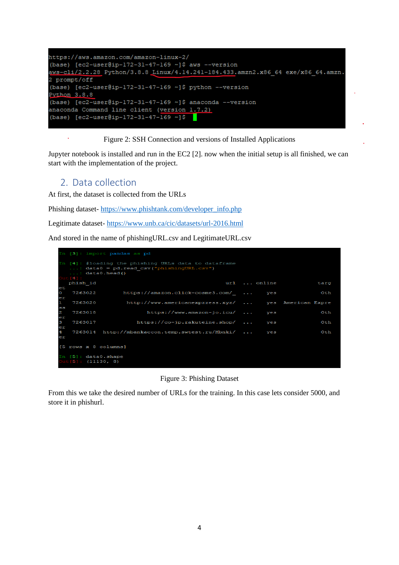```
https://aws.amazon.com/amazon-linux-2/
(base) [ec2-user@ip-172-31-47-169 ~]$ aws --version
aws-cli/2.2.28 Python/3.8.8 Linux/4.14.241-184.433.amzn2.x86 64 exe/x86 64.amzn.
2 prompt/off
(base) [ec2-user@ip-172-31-47-169 ~]$ python --version
Python 3.8.8
(base) [ec2-user@ip-172-31-47-169 ~]$ anaconda --version
anaconda Command line client (version 1.7.2)
(base) [ec2-user@ip-172-31-47-169 ~]$
```
Figure 2: SSH Connection and versions of Installed Applications

Jupyter notebook is installed and run in the EC2 [2]. now when the initial setup is all finished, we can start with the implementation of the project.

## 2. Data collection

At first, the dataset is collected from the URLs

Phishing dataset- [https://www.phishtank.com/developer\\_info.php](https://www.phishtank.com/developer_info.php)

Legitimate dataset- <https://www.unb.ca/cic/datasets/url-2016.html>

And stored in the name of phishingURL.csv and LegitimateURL.csv

|                | In [3]: import pandas as pd                                                                                                                             |                                                      |  |             |                 |  |  |  |  |  |
|----------------|---------------------------------------------------------------------------------------------------------------------------------------------------------|------------------------------------------------------|--|-------------|-----------------|--|--|--|--|--|
|                | In [4]: #loading the phishing URLs data to dataframe<br>: $data0 = pd.read.csv("phishingURL.csv")$<br>$\ldots$ : data0.head()<br>$1E$ $\lceil 4 \rceil$ |                                                      |  |             |                 |  |  |  |  |  |
|                |                                                                                                                                                         |                                                      |  |             |                 |  |  |  |  |  |
|                | phish id                                                                                                                                                |                                                      |  | url  online | targ            |  |  |  |  |  |
| et             |                                                                                                                                                         |                                                      |  |             |                 |  |  |  |  |  |
| $\circ$        | 7263022                                                                                                                                                 | https://amazon.click-cosme3.com/  yes                |  |             | Oth             |  |  |  |  |  |
| er             |                                                                                                                                                         |                                                      |  |             |                 |  |  |  |  |  |
| $\mathbf{I}$   | 7263020                                                                                                                                                 | http://www.americanexpzzess.xyz/  yes American Expre |  |             |                 |  |  |  |  |  |
|                |                                                                                                                                                         |                                                      |  |             |                 |  |  |  |  |  |
| ss             |                                                                                                                                                         |                                                      |  |             |                 |  |  |  |  |  |
| $\overline{z}$ | 7263018                                                                                                                                                 | https://www.amazon-jo.icu/  ves                      |  |             | Oth             |  |  |  |  |  |
| er             |                                                                                                                                                         |                                                      |  |             |                 |  |  |  |  |  |
| 3              | 7263017                                                                                                                                                 | https://co-jp.rakuteine.shop/                        |  | ves         | O <sub>th</sub> |  |  |  |  |  |
| er             |                                                                                                                                                         |                                                      |  |             |                 |  |  |  |  |  |
| $\triangleq$   |                                                                                                                                                         | 7263014 http://mbankaccon.temp.swtest.ru/Mbnki/  ves |  |             | Oth             |  |  |  |  |  |
| er             |                                                                                                                                                         |                                                      |  |             |                 |  |  |  |  |  |
|                |                                                                                                                                                         |                                                      |  |             |                 |  |  |  |  |  |
|                |                                                                                                                                                         |                                                      |  |             |                 |  |  |  |  |  |
|                | [5 rows x 8 columns]                                                                                                                                    |                                                      |  |             |                 |  |  |  |  |  |
|                |                                                                                                                                                         |                                                      |  |             |                 |  |  |  |  |  |
|                | In [5]: data0.shape                                                                                                                                     |                                                      |  |             |                 |  |  |  |  |  |
|                | $[5]$ : $(11130, 8)$                                                                                                                                    |                                                      |  |             |                 |  |  |  |  |  |
|                |                                                                                                                                                         |                                                      |  |             |                 |  |  |  |  |  |

Figure 3: Phishing Dataset

From this we take the desired number of URLs for the training. In this case lets consider 5000, and store it in phishurl.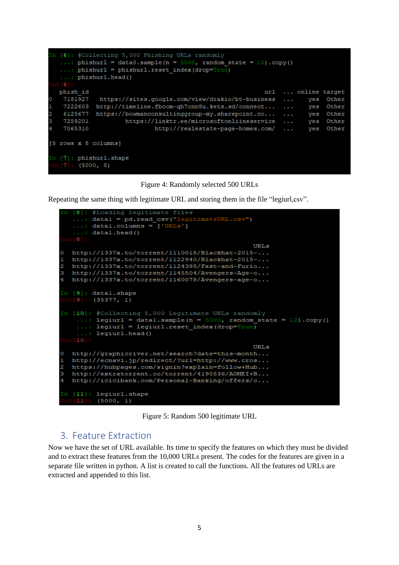|   | In [6]: #Collecting 5,000 Phishing URLs randomly<br>: phishurl = data0.sample( $n = 5000$ , random state = 12).copy()<br>$\ldots$ : phishurl = phishurl.reset index(drop=True)<br>$\ldots$ : phishurl.head()<br>1t <b>[6]</b> |                                                  |               |                    |       |  |  |  |  |
|---|-------------------------------------------------------------------------------------------------------------------------------------------------------------------------------------------------------------------------------|--------------------------------------------------|---------------|--------------------|-------|--|--|--|--|
|   | phish id                                                                                                                                                                                                                      |                                                  |               | url  online target |       |  |  |  |  |
| O | 7181927                                                                                                                                                                                                                       | https://sites.google.com/view/drakio/bt-business | $\sim$        | ves                | Other |  |  |  |  |
| Ц | 7222603                                                                                                                                                                                                                       | http://timeline.fbcom-qh7cnn8u.kets.sd/connect   | $\sim$        | ves                | Other |  |  |  |  |
| 2 | 6125677                                                                                                                                                                                                                       | $https://bowmanconsultinggroup-my.sharepoint.co$ | $\cdots$      | ves                | Other |  |  |  |  |
| З | 7259201                                                                                                                                                                                                                       | https://linktr.ee/microsoftonliineservice        | .             | ves                | Other |  |  |  |  |
| 4 | 7065310                                                                                                                                                                                                                       | http://realestate-page-homes.com/                | $\sim$ $\sim$ | ves                | Other |  |  |  |  |
|   | [5 rows x 8 columns]                                                                                                                                                                                                          |                                                  |               |                    |       |  |  |  |  |
|   | <b>17 Li</b>                                                                                                                                                                                                                  | In [7]: phishurl.shape<br>(5000, 8)              |               |                    |       |  |  |  |  |

Figure 4: Randomly selected 500 URLs

Repeating the same thing with legitimate URL and storing them in the file "legiurl,csv".



Figure 5: Random 500 legitimate URL

### 3. Feature Extraction

Now we have the set of URL available. Its time to specify the features on which they must be divided and to extract these features from the 10,000 URLs present. The codes for the features are given in a separate file written in python. A list is created to call the functions. All the features od URLs are extracted and appended to this list.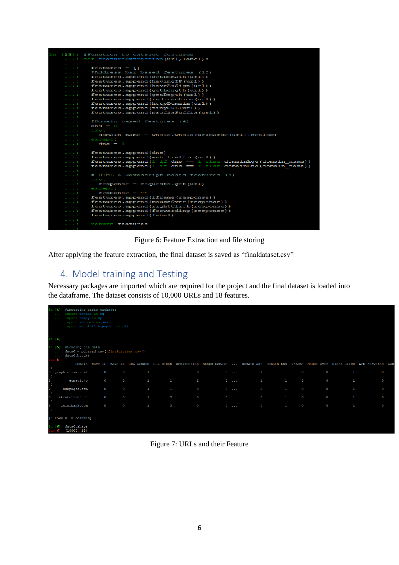

Figure 6: Feature Extraction and file storing

After applying the feature extraction, the final dataset is saved as "finaldataset.csv"

## 4. Model training and Testing

Necessary packages are imported which are required for the project and the final dataset is loaded into the dataframe. The dataset consists of 10,000 URLs and 18 features.

|                               | [4]: #importing basic packages<br>: import pandas as pd<br>: import numpy as np<br>: import seaborn as sns<br>: import matplotlib.pyplot as plt |                                 |  |             |                |              |              |                |                                                                                                                                            |                        |                |              |          |                |       |          |  |
|-------------------------------|-------------------------------------------------------------------------------------------------------------------------------------------------|---------------------------------|--|-------------|----------------|--------------|--------------|----------------|--------------------------------------------------------------------------------------------------------------------------------------------|------------------------|----------------|--------------|----------|----------------|-------|----------|--|
|                               | $[5]$ :                                                                                                                                         |                                 |  |             |                |              |              |                |                                                                                                                                            |                        |                |              |          |                |       |          |  |
|                               | [5]: #Loading the data<br>$data0 = pd.read.csv('final dataset.csv')$<br>100000<br>data0.head()<br><b>Service</b><br>$\blacksquare$              |                                 |  |             |                |              |              |                |                                                                                                                                            |                        |                |              |          |                |       |          |  |
|                               |                                                                                                                                                 |                                 |  |             |                |              |              |                | Domain Have IP Have At URL Length URL Depth Redirection https Domain  Domain Age Domain End iFrame Mouse Over Right Click Web Forwards Lab |                        |                |              |          |                |       |          |  |
| el<br>$\overline{0}$          |                                                                                                                                                 | graphicriver.net                |  | $\bf{0}$    | $\circ$        | $\mathbf{1}$ | 1.           | $\circ$        |                                                                                                                                            | $0 \rightarrow \cdots$ | $\mathbf{1}$   | $\mathbf{1}$ | $\circ$  | $\circ$        | P.    | O        |  |
| $\circ$                       |                                                                                                                                                 | ecnavi.jp                       |  | $\circ$     | $\circ$        | $\mathbf{1}$ | $\mathbf{1}$ | $\mathbf{1}$   |                                                                                                                                            | $0 \rightarrow \cdots$ | $\mathbf{1}$   | $\mathbf{1}$ | $\circ$  | $\circ$        | ı     | $\circ$  |  |
| 2<br>$\circ$                  |                                                                                                                                                 | hubpages.com                    |  | $\mathbf 0$ | $\overline{0}$ | $\mathbf{1}$ | P.           | $\overline{0}$ |                                                                                                                                            | $0 \rightarrow \cdots$ | $\overline{0}$ | $\mathbf{I}$ | $\circ$  | $\overline{0}$ | 1     | $\circ$  |  |
| R<br>$\circ$                  |                                                                                                                                                 | extratorrent.cc                 |  | $\bf{0}$    | $\overline{0}$ | $\mathbf{1}$ | $\mathbf{3}$ | $\overline{O}$ |                                                                                                                                            | $0 \rightarrow \cdots$ | $\overline{0}$ | J.           | $\bf{0}$ | $\overline{0}$ | 1     | $\bf{0}$ |  |
| 4<br>$\overline{\phantom{0}}$ |                                                                                                                                                 | icicibank.com                   |  | $\bf{O}$    | $\circ$        | $\mathbf{1}$ | $\mathbf{3}$ | $\circ$        |                                                                                                                                            | $0 \rightarrow \cdots$ | $\mathbf 0$    | $\mathbf{1}$ | $\circ$  | $\overline{0}$ | $1\,$ | $\circ$  |  |
|                               |                                                                                                                                                 | [5 rows x 18 columns]           |  |             |                |              |              |                |                                                                                                                                            |                        |                |              |          |                |       |          |  |
|                               | 6 <sub>1</sub>                                                                                                                                  | [6]: data0.shape<br>(10000, 18) |  |             |                |              |              |                |                                                                                                                                            |                        |                |              |          |                |       |          |  |

Figure 7: URLs and their Feature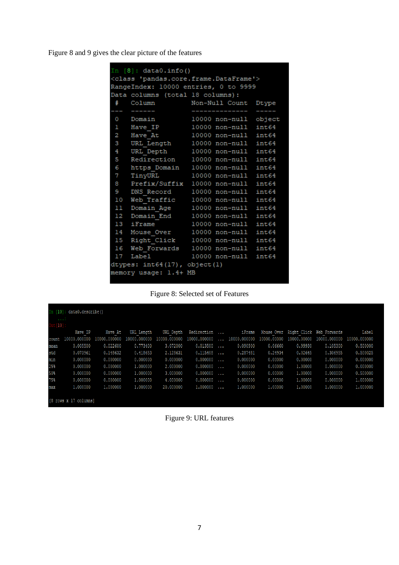Figure 8 and 9 gives the clear picture of the features

| In $[8]$ : data0.info()                          |                                    |                                      |  |  |  |  |  |  |  |  |  |
|--------------------------------------------------|------------------------------------|--------------------------------------|--|--|--|--|--|--|--|--|--|
| <class 'pandas.core.frame.dataframe'=""></class> |                                    |                                      |  |  |  |  |  |  |  |  |  |
| RangeIndex: 10000 entries, 0 to 9999             |                                    |                                      |  |  |  |  |  |  |  |  |  |
| Data columns (total 18 columns):                 |                                    |                                      |  |  |  |  |  |  |  |  |  |
|                                                  |                                    | # Column Mon-Null Count Dtype        |  |  |  |  |  |  |  |  |  |
|                                                  |                                    | .                                    |  |  |  |  |  |  |  |  |  |
|                                                  | 0 Domain                           | 10000 non-null object                |  |  |  |  |  |  |  |  |  |
|                                                  | 1 Have IP                          | 10000 non-null int64                 |  |  |  |  |  |  |  |  |  |
|                                                  |                                    | 2 Have At 10000 non-null int64       |  |  |  |  |  |  |  |  |  |
| з                                                |                                    | URL Length 10000 non-null int64      |  |  |  |  |  |  |  |  |  |
|                                                  |                                    |                                      |  |  |  |  |  |  |  |  |  |
| 4                                                |                                    | URL Depth 10000 non-null int64       |  |  |  |  |  |  |  |  |  |
| 5                                                |                                    | Redirection 10000 non-null int64     |  |  |  |  |  |  |  |  |  |
| 6                                                |                                    | https Domain 10000 non-null int64    |  |  |  |  |  |  |  |  |  |
| 7                                                |                                    | TinyURL 10000 non-null int64         |  |  |  |  |  |  |  |  |  |
| 8                                                |                                    | Prefix/Suffix 10000 non-null int64   |  |  |  |  |  |  |  |  |  |
| 9.                                               |                                    | DNS Record 10000 non-null int64      |  |  |  |  |  |  |  |  |  |
| 10                                               |                                    | Web Traffic 10000 non-null int64     |  |  |  |  |  |  |  |  |  |
|                                                  |                                    | 11 Domain Age 10000 non-null int64   |  |  |  |  |  |  |  |  |  |
|                                                  |                                    | 12 Domain End 10000 non-null int64   |  |  |  |  |  |  |  |  |  |
|                                                  | 13 iFrame                          | 10000 non-null int64                 |  |  |  |  |  |  |  |  |  |
| 14                                               |                                    | Mouse Over 10000 non-null int64      |  |  |  |  |  |  |  |  |  |
|                                                  |                                    | 15 Right Click 10000 non-null int64  |  |  |  |  |  |  |  |  |  |
|                                                  |                                    | 16 Web Forwards 10000 non-null int64 |  |  |  |  |  |  |  |  |  |
|                                                  |                                    | 17 Label 10000 non-null int64        |  |  |  |  |  |  |  |  |  |
|                                                  | dtypes: $int64(17)$ , object $(1)$ |                                      |  |  |  |  |  |  |  |  |  |
|                                                  | memory usage: 1.4+ MB              |                                      |  |  |  |  |  |  |  |  |  |
|                                                  |                                    |                                      |  |  |  |  |  |  |  |  |  |

Figure 8: Selected set of Features

|        | In [10]: data0.describe() |                  |              |              |              |          |              |             |             |                          |              |  |
|--------|---------------------------|------------------|--------------|--------------|--------------|----------|--------------|-------------|-------------|--------------------------|--------------|--|
|        | <b>Service</b>            |                  |              |              |              |          |              |             |             |                          |              |  |
|        | $[10]$ :                  |                  |              |              |              |          |              |             |             |                          |              |  |
|        | Have IP                   | Have At          | URL Length   | URL Depth    | Redirection  | $\cdots$ | iFrame       | Mouse Over  |             | Right Click Web Forwards | Label        |  |
| count  | 00.000000<br>100          | 00,000000<br>100 | 10000,000000 | 10000,000000 | 10000,000000 | .        | 10000,000000 | 10000.00000 | 10000,00000 | 10000,000000             | 10000,000000 |  |
| mean   | 0.005500                  | 0.022600         | 0.773400     | 3.072000     | 0.013500     | $\sim$   | 0.090900     | 0.06660     | 0.99930     | 0.105300                 | 0.500000     |  |
| std    | 0.073961                  | 0.148632         | 0.418653     | 2.128631     | 0.115408     | $\cdots$ | 0.287481     | 0.24934     | 0.02645     | 0.306955                 | 0.500025     |  |
| min    | 0.000000                  | 0.000000         | 0.000000     | 0.000000     | 0.000000     | $\cdots$ | 0.000000     | 0.00000     | 0.00000     | 0.000000                 | 0.000000     |  |
| 25%    | 0.000000                  | 0.000000         | 1,000000     | 2,000000     | 0.000000     | $\sim$   | 0.000000     | 0,00000     | 1,00000     | 0.000000                 | 0.000000     |  |
| $50\%$ | 0.000000                  | 0.000000         | 1,000000     | 3,000000     | 0.000000     | $\cdots$ | 0.000000     | 0.00000     | 1,00000     | 0.000000                 | 0.500000     |  |
| 75%    | 0.000000                  | 0.000000         | 1,000000     | 4.000000     | 0.000000     | $\cdots$ | 0.000000     | 0.00000     | 1,00000     | 0.000000                 | 1,000000     |  |
| max    | 1,000000                  | 1,000000         | 1,000000     | 20,000000    | 1,000000     | $\cdots$ | 1,000000     | 1,00000     | 1,00000     | 1,000000                 | 1,000000     |  |
|        |                           |                  |              |              |              |          |              |             |             |                          |              |  |
|        | [8 rows x 17 columns]     |                  |              |              |              |          |              |             |             |                          |              |  |

Figure 9: URL features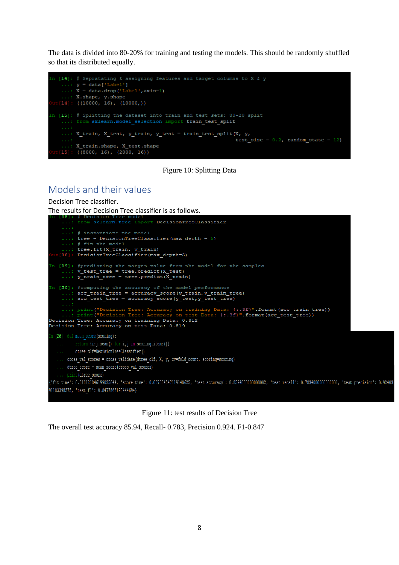The data is divided into 80-20% for training and testing the models. This should be randomly shuffled so that its distributed equally.



Figure 10: Splitting Data

## Models and their values

Decision Tree classifier. The results for Decision Tree classifier is as follows.



Figure 11: test results of Decision Tree

The overall test accuracy 85.94, Recall- 0.783, Precision 0.924. F1-0.847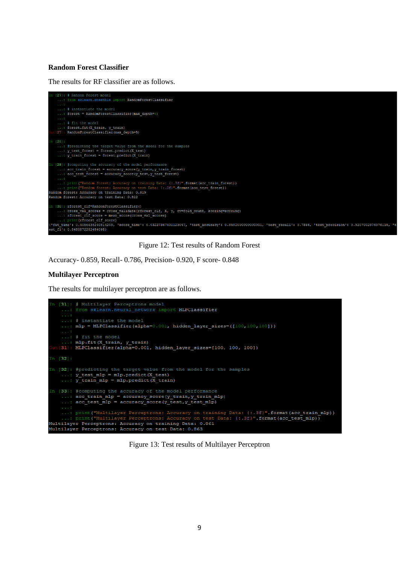#### **Random Forest Classifier**

The results for RF classifier are as follows.



#### Figure 12: Test results of Random Forest

Accuracy- 0.859, Recall- 0.786, Precision- 0.920, F score- 0.848

#### **Multilayer Perceptron**

The results for multilayer perceptron are as follows.



Figure 13: Test results of Multilayer Perceptron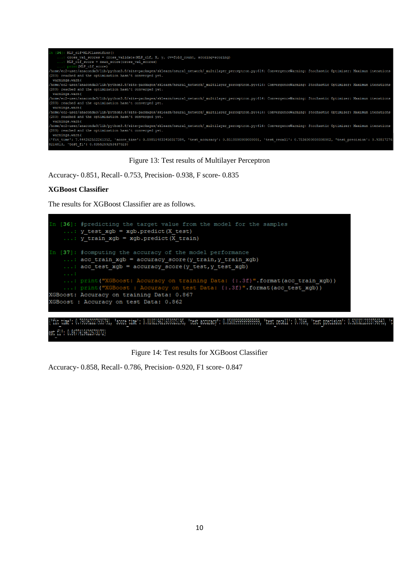

#### Figure 13: Test results of Multilayer Perceptron

Accuracy- 0.851, Recall- 0.753, Precision- 0.938, F score- 0.835

#### **XGBoost Classifier**

The results for XGBoost Classifier are as follows.



fit time': 0.798342227935791, 'score time': 0.010219621658325195, 'test accuracy': 0.8588999999999999, 'test recall': 0.7864, 'test precision': 0.9203212333796943, est fl': 0.8477419622573172)

Figure 14: Test results for XGBoost Classifier

Accuracy- 0.858, Recall- 0.786, Precision- 0.920, F1 score- 0.847